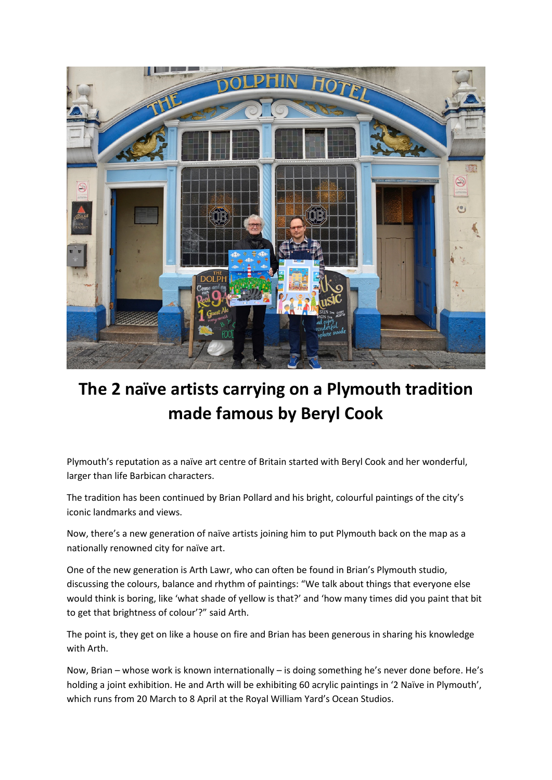

## **The 2 naïve artists carrying on a Plymouth tradition made famous by Beryl Cook**

Plymouth's reputation as a naïve art centre of Britain started with Beryl Cook and her wonderful, larger than life Barbican characters.

The tradition has been continued by Brian Pollard and his bright, colourful paintings of the city's iconic landmarks and views.

Now, there's a new generation of naïve artists joining him to put Plymouth back on the map as a nationally renowned city for naïve art.

One of the new generation is Arth Lawr, who can often be found in Brian's Plymouth studio, discussing the colours, balance and rhythm of paintings: "We talk about things that everyone else would think is boring, like 'what shade of yellow is that?' and 'how many times did you paint that bit to get that brightness of colour'?" said Arth.

The point is, they get on like a house on fire and Brian has been generous in sharing his knowledge with Arth.

Now, Brian – whose work is known internationally – is doing something he's never done before. He's holding a joint exhibition. He and Arth will be exhibiting 60 acrylic paintings in '2 Naïve in Plymouth', which runs from 20 March to 8 April at the Royal William Yard's Ocean Studios.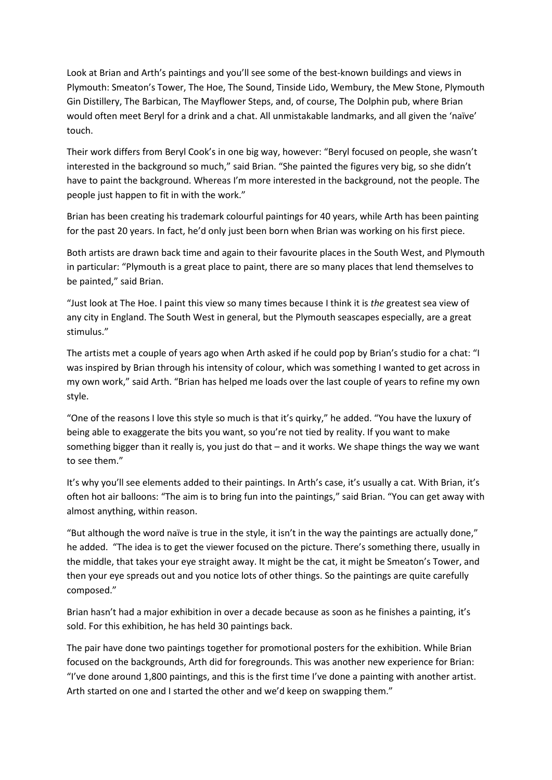Look at Brian and Arth's paintings and you'll see some of the best-known buildings and views in Plymouth: Smeaton's Tower, The Hoe, The Sound, Tinside Lido, Wembury, the Mew Stone, Plymouth Gin Distillery, The Barbican, The Mayflower Steps, and, of course, The Dolphin pub, where Brian would often meet Beryl for a drink and a chat. All unmistakable landmarks, and all given the 'naïve' touch.

Their work differs from Beryl Cook's in one big way, however: "Beryl focused on people, she wasn't interested in the background so much," said Brian. "She painted the figures very big, so she didn't have to paint the background. Whereas I'm more interested in the background, not the people. The people just happen to fit in with the work."

Brian has been creating his trademark colourful paintings for 40 years, while Arth has been painting for the past 20 years. In fact, he'd only just been born when Brian was working on his first piece.

Both artists are drawn back time and again to their favourite places in the South West, and Plymouth in particular: "Plymouth is a great place to paint, there are so many places that lend themselves to be painted," said Brian.

"Just look at The Hoe. I paint this view so many times because I think it is *the* greatest sea view of any city in England. The South West in general, but the Plymouth seascapes especially, are a great stimulus."

The artists met a couple of years ago when Arth asked if he could pop by Brian's studio for a chat: "I was inspired by Brian through his intensity of colour, which was something I wanted to get across in my own work," said Arth. "Brian has helped me loads over the last couple of years to refine my own style.

"One of the reasons I love this style so much is that it's quirky," he added. "You have the luxury of being able to exaggerate the bits you want, so you're not tied by reality. If you want to make something bigger than it really is, you just do that – and it works. We shape things the way we want to see them."

It's why you'll see elements added to their paintings. In Arth's case, it's usually a cat. With Brian, it's often hot air balloons: "The aim is to bring fun into the paintings," said Brian. "You can get away with almost anything, within reason.

"But although the word naïve is true in the style, it isn't in the way the paintings are actually done," he added. "The idea is to get the viewer focused on the picture. There's something there, usually in the middle, that takes your eye straight away. It might be the cat, it might be Smeaton's Tower, and then your eye spreads out and you notice lots of other things. So the paintings are quite carefully composed."

Brian hasn't had a major exhibition in over a decade because as soon as he finishes a painting, it's sold. For this exhibition, he has held 30 paintings back.

The pair have done two paintings together for promotional posters for the exhibition. While Brian focused on the backgrounds, Arth did for foregrounds. This was another new experience for Brian: "I've done around 1,800 paintings, and this is the first time I've done a painting with another artist. Arth started on one and I started the other and we'd keep on swapping them."